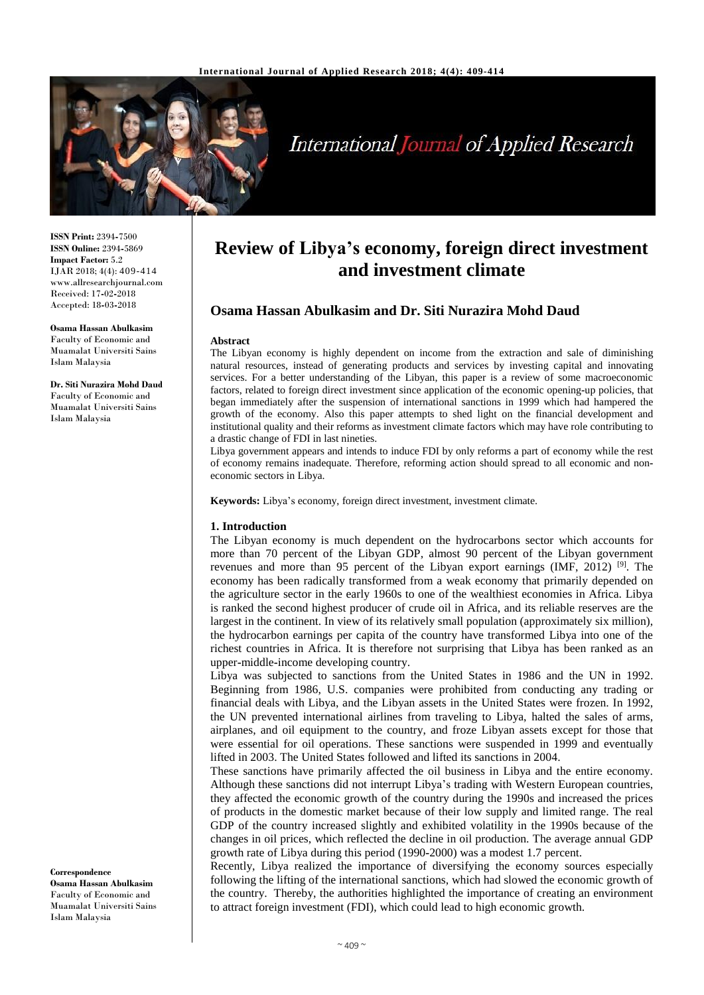

# **International Journal of Applied Research**

**ISSN Print:** 2394**-**7500 **ISSN Online:** 2394**-**5869 **Impact Factor:** 5.2 IJAR 2018; 4(4): 409-414 www.allresearchjournal.com Received: 17**-**02**-**2018 Accepted: 18**-**03**-**2018

**Osama Hassan Abulkasim** Faculty of Economic and Muamalat Universiti Sains Islam Malaysia

**Dr. Siti Nurazira Mohd Daud** Faculty of Economic and Muamalat Universiti Sains Islam Malaysia

**Correspondence Osama Hassan Abulkasim** Faculty of Economic and Muamalat Universiti Sains Islam Malaysia

## **Review of Libya's economy, foreign direct investment and investment climate**

### **Osama Hassan Abulkasim and Dr. Siti Nurazira Mohd Daud**

#### **Abstract**

The Libyan economy is highly dependent on income from the extraction and sale of diminishing natural resources, instead of generating products and services by investing capital and innovating services. For a better understanding of the Libyan, this paper is a review of some macroeconomic factors, related to foreign direct investment since application of the economic opening**-**up policies, that began immediately after the suspension of international sanctions in 1999 which had hampered the growth of the economy. Also this paper attempts to shed light on the financial development and institutional quality and their reforms as investment climate factors which may have role contributing to a drastic change of FDI in last nineties.

Libya government appears and intends to induce FDI by only reforms a part of economy while the rest of economy remains inadequate. Therefore, reforming action should spread to all economic and noneconomic sectors in Libya.

**Keywords:** Libya's economy, foreign direct investment, investment climate.

#### **1. Introduction**

The Libyan economy is much dependent on the hydrocarbons sector which accounts for more than 70 percent of the Libyan GDP, almost 90 percent of the Libyan government revenues and more than 95 percent of the Libyan export earnings (IMF, 2012)<sup>[9]</sup>. The economy has been radically transformed from a weak economy that primarily depended on the agriculture sector in the early 1960s to one of the wealthiest economies in Africa. Libya is ranked the second highest producer of crude oil in Africa, and its reliable reserves are the largest in the continent. In view of its relatively small population (approximately six million), the hydrocarbon earnings per capita of the country have transformed Libya into one of the richest countries in Africa. It is therefore not surprising that Libya has been ranked as an upper**-**middle**-**income developing country.

Libya was subjected to sanctions from the United States in 1986 and the UN in 1992. Beginning from 1986, U.S. companies were prohibited from conducting any trading or financial deals with Libya, and the Libyan assets in the United States were frozen. In 1992, the UN prevented international airlines from traveling to Libya, halted the sales of arms, airplanes, and oil equipment to the country, and froze Libyan assets except for those that were essential for oil operations. These sanctions were suspended in 1999 and eventually lifted in 2003. The United States followed and lifted its sanctions in 2004.

These sanctions have primarily affected the oil business in Libya and the entire economy. Although these sanctions did not interrupt Libya's trading with Western European countries, they affected the economic growth of the country during the 1990s and increased the prices of products in the domestic market because of their low supply and limited range. The real GDP of the country increased slightly and exhibited volatility in the 1990s because of the changes in oil prices, which reflected the decline in oil production. The average annual GDP growth rate of Libya during this period (1990**-**2000) was a modest 1.7 percent.

Recently, Libya realized the importance of diversifying the economy sources especially following the lifting of the international sanctions, which had slowed the economic growth of the country. Thereby, the authorities highlighted the importance of creating an environment to attract foreign investment (FDI), which could lead to high economic growth.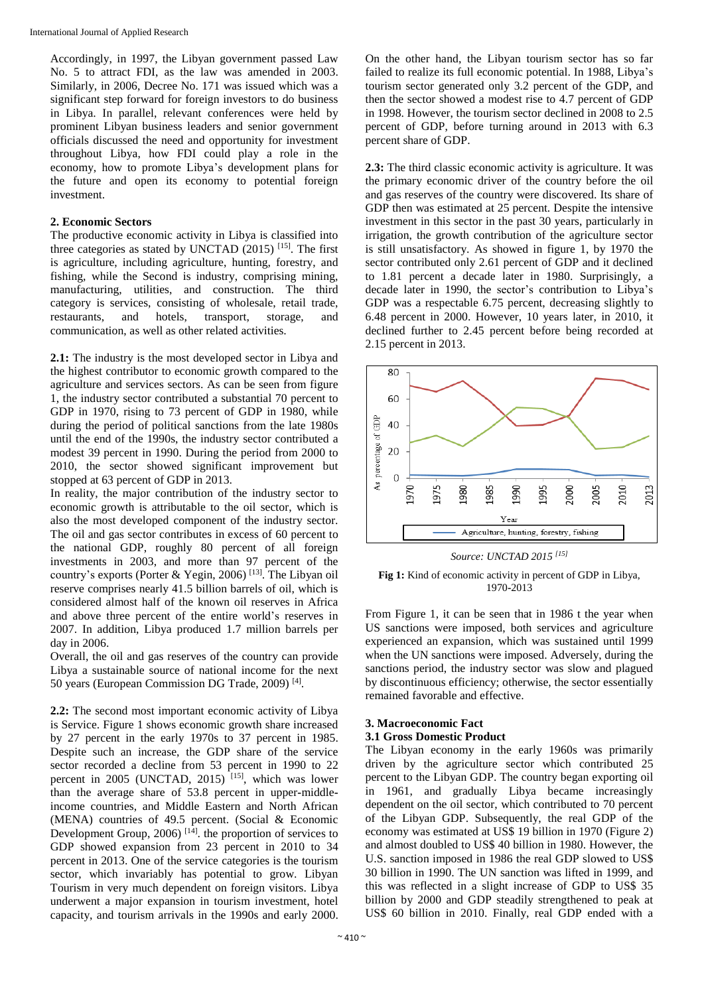Accordingly, in 1997, the Libyan government passed Law No. 5 to attract FDI, as the law was amended in 2003. Similarly, in 2006, Decree No. 171 was issued which was a significant step forward for foreign investors to do business in Libya. In parallel, relevant conferences were held by prominent Libyan business leaders and senior government officials discussed the need and opportunity for investment throughout Libya, how FDI could play a role in the economy, how to promote Libya's development plans for the future and open its economy to potential foreign investment.

#### **2. Economic Sectors**

The productive economic activity in Libya is classified into three categories as stated by UNCTAD  $(2015)$  <sup>[15]</sup>. The first is agriculture, including agriculture, hunting, forestry, and fishing, while the Second is industry, comprising mining, manufacturing, utilities, and construction. The third category is services, consisting of wholesale, retail trade, restaurants, and hotels, transport, storage, and communication, as well as other related activities.

**2.1:** The industry is the most developed sector in Libya and the highest contributor to economic growth compared to the agriculture and services sectors. As can be seen from figure 1, the industry sector contributed a substantial 70 percent to GDP in 1970, rising to 73 percent of GDP in 1980, while during the period of political sanctions from the late 1980s until the end of the 1990s, the industry sector contributed a modest 39 percent in 1990. During the period from 2000 to 2010, the sector showed significant improvement but stopped at 63 percent of GDP in 2013.

In reality, the major contribution of the industry sector to economic growth is attributable to the oil sector, which is also the most developed component of the industry sector. The oil and gas sector contributes in excess of 60 percent to the national GDP, roughly 80 percent of all foreign investments in 2003, and more than 97 percent of the country's exports (Porter & Yegin, 2006)<sup>[13]</sup>. The Libyan oil reserve comprises nearly 41.5 billion barrels of oil, which is considered almost half of the known oil reserves in Africa and above three percent of the entire world's reserves in 2007. In addition, Libya produced 1.7 million barrels per day in 2006.

Overall, the oil and gas reserves of the country can provide Libya a sustainable source of national income for the next 50 years (European Commission DG Trade, 2009)<sup>[4]</sup>.

**2.2:** The second most important economic activity of Libya is Service. Figure 1 shows economic growth share increased by 27 percent in the early 1970s to 37 percent in 1985. Despite such an increase, the GDP share of the service sector recorded a decline from 53 percent in 1990 to 22 percent in 2005 (UNCTAD, 2015)<sup>[15]</sup>, which was lower than the average share of 53.8 percent in upper**-**middleincome countries, and Middle Eastern and North African (MENA) countries of 49.5 percent. (Social & Economic Development Group, 2006)<sup>[14]</sup>. the proportion of services to GDP showed expansion from 23 percent in 2010 to 34 percent in 2013. One of the service categories is the tourism sector, which invariably has potential to grow. Libyan Tourism in very much dependent on foreign visitors. Libya underwent a major expansion in tourism investment, hotel capacity, and tourism arrivals in the 1990s and early 2000.

On the other hand, the Libyan tourism sector has so far failed to realize its full economic potential. In 1988, Libya's tourism sector generated only 3.2 percent of the GDP, and then the sector showed a modest rise to 4.7 percent of GDP in 1998. However, the tourism sector declined in 2008 to 2.5 percent of GDP, before turning around in 2013 with 6.3 percent share of GDP.

**2.3:** The third classic economic activity is agriculture. It was the primary economic driver of the country before the oil and gas reserves of the country were discovered. Its share of GDP then was estimated at 25 percent. Despite the intensive investment in this sector in the past 30 years, particularly in irrigation, the growth contribution of the agriculture sector is still unsatisfactory. As showed in figure 1, by 1970 the sector contributed only 2.61 percent of GDP and it declined to 1.81 percent a decade later in 1980. Surprisingly, a decade later in 1990, the sector's contribution to Libya's GDP was a respectable 6.75 percent, decreasing slightly to 6.48 percent in 2000. However, 10 years later, in 2010, it declined further to 2.45 percent before being recorded at 2.15 percent in 2013.



*Source: UNCTAD 2015 [15]*

**Fig 1:** Kind of economic activity in percent of GDP in Libya, 1970**-**2013

From Figure 1, it can be seen that in 1986 t the year when US sanctions were imposed, both services and agriculture experienced an expansion, which was sustained until 1999 when the UN sanctions were imposed. Adversely, during the sanctions period, the industry sector was slow and plagued by discontinuous efficiency; otherwise, the sector essentially remained favorable and effective.

#### **3. Macroeconomic Fact 3.1 Gross Domestic Product**

The Libyan economy in the early 1960s was primarily driven by the agriculture sector which contributed 25 percent to the Libyan GDP. The country began exporting oil in 1961, and gradually Libya became increasingly dependent on the oil sector, which contributed to 70 percent of the Libyan GDP. Subsequently, the real GDP of the economy was estimated at US\$ 19 billion in 1970 (Figure 2) and almost doubled to US\$ 40 billion in 1980. However, the U.S. sanction imposed in 1986 the real GDP slowed to US\$ 30 billion in 1990. The UN sanction was lifted in 1999, and this was reflected in a slight increase of GDP to US\$ 35 billion by 2000 and GDP steadily strengthened to peak at US\$ 60 billion in 2010. Finally, real GDP ended with a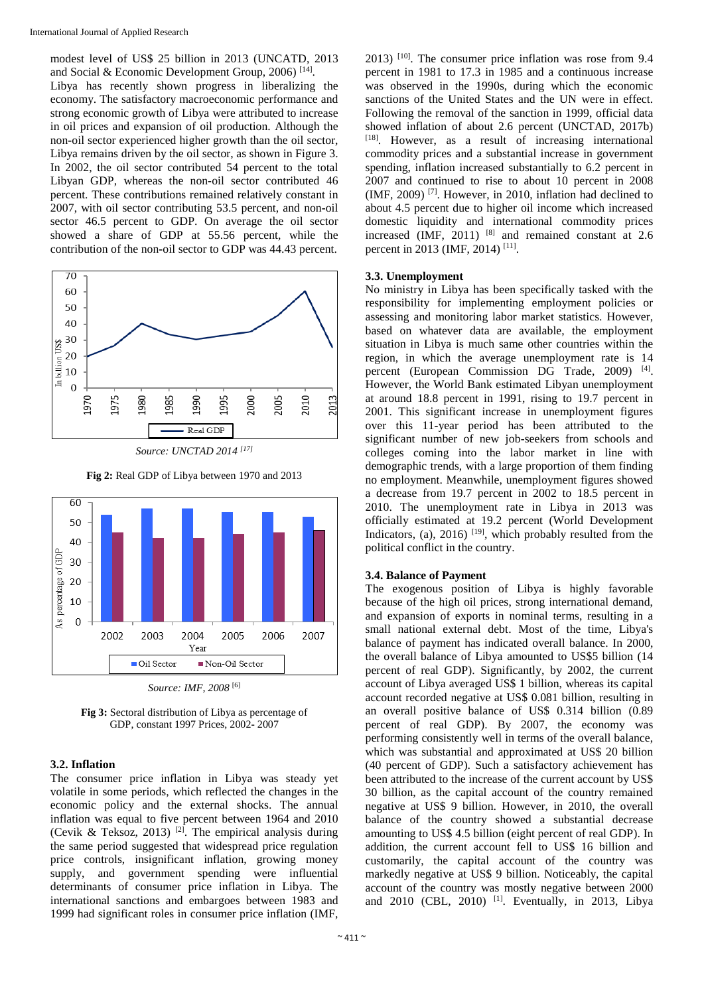modest level of US\$ 25 billion in 2013 (UNCATD, 2013 and Social & Economic Development Group, 2006)<sup>[14]</sup>. Libya has recently shown progress in liberalizing the economy. The satisfactory macroeconomic performance and strong economic growth of Libya were attributed to increase in oil prices and expansion of oil production. Although the non**-**oil sector experienced higher growth than the oil sector, Libya remains driven by the oil sector, as shown in Figure 3. In 2002, the oil sector contributed 54 percent to the total Libyan GDP, whereas the non**-**oil sector contributed 46 percent. These contributions remained relatively constant in 2007, with oil sector contributing 53.5 percent, and non**-**oil sector 46.5 percent to GDP. On average the oil sector showed a share of GDP at 55.56 percent, while the contribution of the non**-**oil sector to GDP was 44.43 percent.



*Source: UNCTAD 2014 [17]*



**Fig 2:** Real GDP of Libya between 1970 and 2013

**Fig 3:** Sectoral distribution of Libya as percentage of GDP, constant 1997 Prices, 2002**-** 2007

#### **3.2. Inflation**

The consumer price inflation in Libya was steady yet volatile in some periods, which reflected the changes in the economic policy and the external shocks. The annual inflation was equal to five percent between 1964 and 2010 (Cevik & Teksoz, 2013)<sup>[2]</sup>. The empirical analysis during the same period suggested that widespread price regulation price controls, insignificant inflation, growing money supply, and government spending were influential determinants of consumer price inflation in Libya. The international sanctions and embargoes between 1983 and 1999 had significant roles in consumer price inflation (IMF,

 $2013$ )  $[10]$ . The consumer price inflation was rose from 9.4 percent in 1981 to 17.3 in 1985 and a continuous increase was observed in the 1990s, during which the economic sanctions of the United States and the UN were in effect. Following the removal of the sanction in 1999, official data showed inflation of about 2.6 percent (UNCTAD, 2017b) [18] . However, as a result of increasing international commodity prices and a substantial increase in government spending, inflation increased substantially to 6.2 percent in 2007 and continued to rise to about 10 percent in 2008 (IMF, 2009) [7] . However, in 2010, inflation had declined to about 4.5 percent due to higher oil income which increased domestic liquidity and international commodity prices increased (IMF,  $2011$ ) <sup>[8]</sup> and remained constant at 2.6 percent in 2013 (IMF, 2014)<sup>[11]</sup>.

#### **3.3. Unemployment**

No ministry in Libya has been specifically tasked with the responsibility for implementing employment policies or assessing and monitoring labor market statistics. However, based on whatever data are available, the employment situation in Libya is much same other countries within the region, in which the average unemployment rate is 14 percent (European Commission DG Trade, 2009)<sup>[4]</sup>. However, the World Bank estimated Libyan unemployment at around 18.8 percent in 1991, rising to 19.7 percent in 2001. This significant increase in unemployment figures over this 11**-**year period has been attributed to the significant number of new job**-**seekers from schools and colleges coming into the labor market in line with demographic trends, with a large proportion of them finding no employment. Meanwhile, unemployment figures showed a decrease from 19.7 percent in 2002 to 18.5 percent in 2010. The unemployment rate in Libya in 2013 was officially estimated at 19.2 percent (World Development Indicators, (a), 2016)<sup>[19]</sup>, which probably resulted from the political conflict in the country.

#### **3.4. Balance of Payment**

The exogenous position of Libya is highly favorable because of the high oil prices, strong international demand, and expansion of exports in nominal terms, resulting in a small national external debt. Most of the time, Libya's balance of payment has indicated overall balance. In 2000, the overall balance of Libya amounted to US\$5 billion (14 percent of real GDP). Significantly, by 2002, the current account of Libya averaged US\$ 1 billion, whereas its capital account recorded negative at US\$ 0.081 billion, resulting in an overall positive balance of US\$ 0.314 billion (0.89 percent of real GDP). By 2007, the economy was performing consistently well in terms of the overall balance, which was substantial and approximated at US\$ 20 billion (40 percent of GDP). Such a satisfactory achievement has been attributed to the increase of the current account by US\$ 30 billion, as the capital account of the country remained negative at US\$ 9 billion. However, in 2010, the overall balance of the country showed a substantial decrease amounting to US\$ 4.5 billion (eight percent of real GDP). In addition, the current account fell to US\$ 16 billion and customarily, the capital account of the country was markedly negative at US\$ 9 billion. Noticeably, the capital account of the country was mostly negative between 2000 and 2010 (CBL, 2010) <sup>[1]</sup>. Eventually, in 2013, Libya

*Source: IMF, 2008* [6]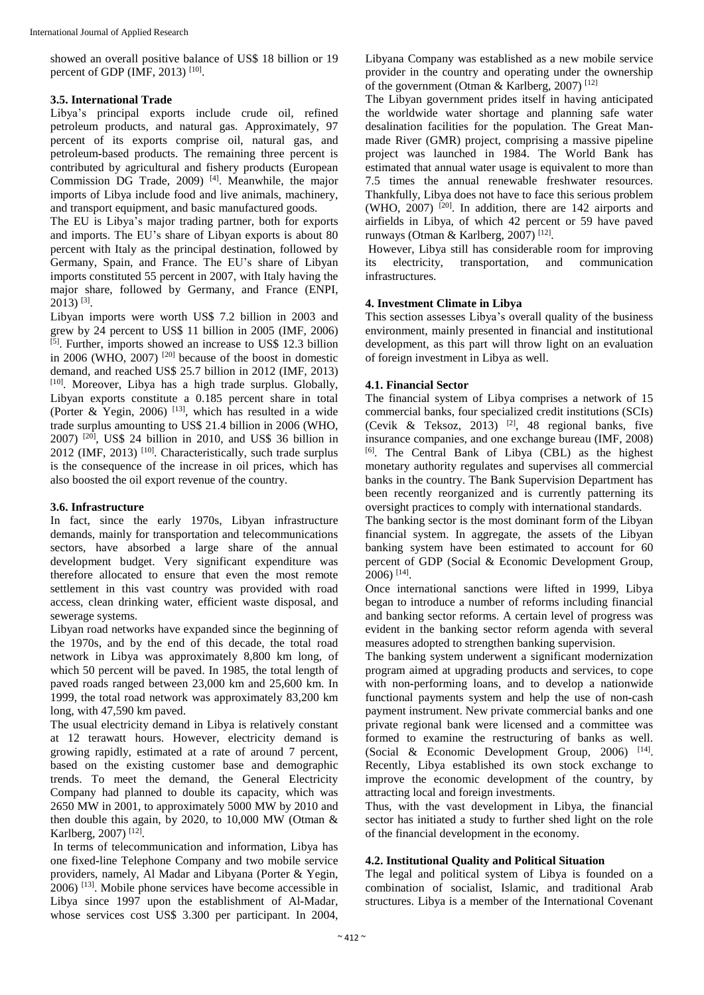showed an overall positive balance of US\$ 18 billion or 19 percent of GDP (IMF, 2013)<sup>[10]</sup>.

#### **3.5. International Trade**

Libya's principal exports include crude oil, refined petroleum products, and natural gas. Approximately, 97 percent of its exports comprise oil, natural gas, and petroleum**-**based products. The remaining three percent is contributed by agricultural and fishery products (European Commission DG Trade, 2009)<sup>[4]</sup>. Meanwhile, the major imports of Libya include food and live animals, machinery, and transport equipment, and basic manufactured goods.

The EU is Libya's major trading partner, both for exports and imports. The EU's share of Libyan exports is about 80 percent with Italy as the principal destination, followed by Germany, Spain, and France. The EU's share of Libyan imports constituted 55 percent in 2007, with Italy having the major share, followed by Germany, and France (ENPI,  $2013$ ) <sup>[3]</sup>.

Libyan imports were worth US\$ 7.2 billion in 2003 and grew by 24 percent to US\$ 11 billion in 2005 (IMF, 2006) [5]. Further, imports showed an increase to US\$ 12.3 billion in 2006 (WHO, 2007) <sup>[20]</sup> because of the boost in domestic demand, and reached US\$ 25.7 billion in 2012 (IMF, 2013) [10]. Moreover, Libya has a high trade surplus. Globally, Libyan exports constitute a 0.185 percent share in total (Porter & Yegin, 2006)<sup>[13]</sup>, which has resulted in a wide trade surplus amounting to US\$ 21.4 billion in 2006 (WHO, 2007) [20] , US\$ 24 billion in 2010, and US\$ 36 billion in  $2012$  (IMF,  $2013$ )<sup>[10]</sup>. Characteristically, such trade surplus is the consequence of the increase in oil prices, which has also boosted the oil export revenue of the country.

#### **3.6. Infrastructure**

In fact, since the early 1970s, Libyan infrastructure demands, mainly for transportation and telecommunications sectors, have absorbed a large share of the annual development budget. Very significant expenditure was therefore allocated to ensure that even the most remote settlement in this vast country was provided with road access, clean drinking water, efficient waste disposal, and sewerage systems.

Libyan road networks have expanded since the beginning of the 1970s, and by the end of this decade, the total road network in Libya was approximately 8,800 km long, of which 50 percent will be paved. In 1985, the total length of paved roads ranged between 23,000 km and 25,600 km. In 1999, the total road network was approximately 83,200 km long, with 47,590 km paved.

The usual electricity demand in Libya is relatively constant at 12 terawatt hours. However, electricity demand is growing rapidly, estimated at a rate of around 7 percent, based on the existing customer base and demographic trends. To meet the demand, the General Electricity Company had planned to double its capacity, which was 2650 MW in 2001, to approximately 5000 MW by 2010 and then double this again, by 2020, to 10,000 MW (Otman & Karlberg, 2007)<sup>[12]</sup>.

In terms of telecommunication and information, Libya has one fixed**-**line Telephone Company and two mobile service providers, namely, Al Madar and Libyana (Porter & Yegin,  $2006$ )  $^{[13]}$ . Mobile phone services have become accessible in Libya since 1997 upon the establishment of Al**-**Madar, whose services cost US\$ 3.300 per participant. In 2004,

Libyana Company was established as a new mobile service provider in the country and operating under the ownership of the government (Otman & Karlberg, 2007)<sup>[12]</sup>

The Libyan government prides itself in having anticipated the worldwide water shortage and planning safe water desalination facilities for the population. The Great Manmade River (GMR) project, comprising a massive pipeline project was launched in 1984. The World Bank has estimated that annual water usage is equivalent to more than 7.5 times the annual renewable freshwater resources. Thankfully, Libya does not have to face this serious problem (WHO, 2007)  $[20]$ . In addition, there are 142 airports and airfields in Libya, of which 42 percent or 59 have paved runways (Otman & Karlberg, 2007)<sup>[12]</sup>.

However, Libya still has considerable room for improving its electricity, transportation, and communication infrastructures.

#### **4. Investment Climate in Libya**

This section assesses Libya's overall quality of the business environment, mainly presented in financial and institutional development, as this part will throw light on an evaluation of foreign investment in Libya as well.

#### **4.1. Financial Sector**

The financial system of Libya comprises a network of 15 commercial banks, four specialized credit institutions (SCIs) (Cevik & Teksoz, 2013) [2] , 48 regional banks, five insurance companies, and one exchange bureau (IMF, 2008) [6] . The Central Bank of Libya (CBL) as the highest monetary authority regulates and supervises all commercial banks in the country. The Bank Supervision Department has been recently reorganized and is currently patterning its oversight practices to comply with international standards.

The banking sector is the most dominant form of the Libyan financial system. In aggregate, the assets of the Libyan banking system have been estimated to account for 60 percent of GDP (Social & Economic Development Group, 2006) [14] .

Once international sanctions were lifted in 1999, Libya began to introduce a number of reforms including financial and banking sector reforms. A certain level of progress was evident in the banking sector reform agenda with several measures adopted to strengthen banking supervision.

The banking system underwent a significant modernization program aimed at upgrading products and services, to cope with non**-**performing loans, and to develop a nationwide functional payments system and help the use of non**-**cash payment instrument. New private commercial banks and one private regional bank were licensed and a committee was formed to examine the restructuring of banks as well. (Social & Economic Development Group, 2006) [14]. Recently, Libya established its own stock exchange to improve the economic development of the country, by attracting local and foreign investments.

Thus, with the vast development in Libya, the financial sector has initiated a study to further shed light on the role of the financial development in the economy.

#### **4.2. Institutional Quality and Political Situation**

The legal and political system of Libya is founded on a combination of socialist, Islamic, and traditional Arab structures. Libya is a member of the International Covenant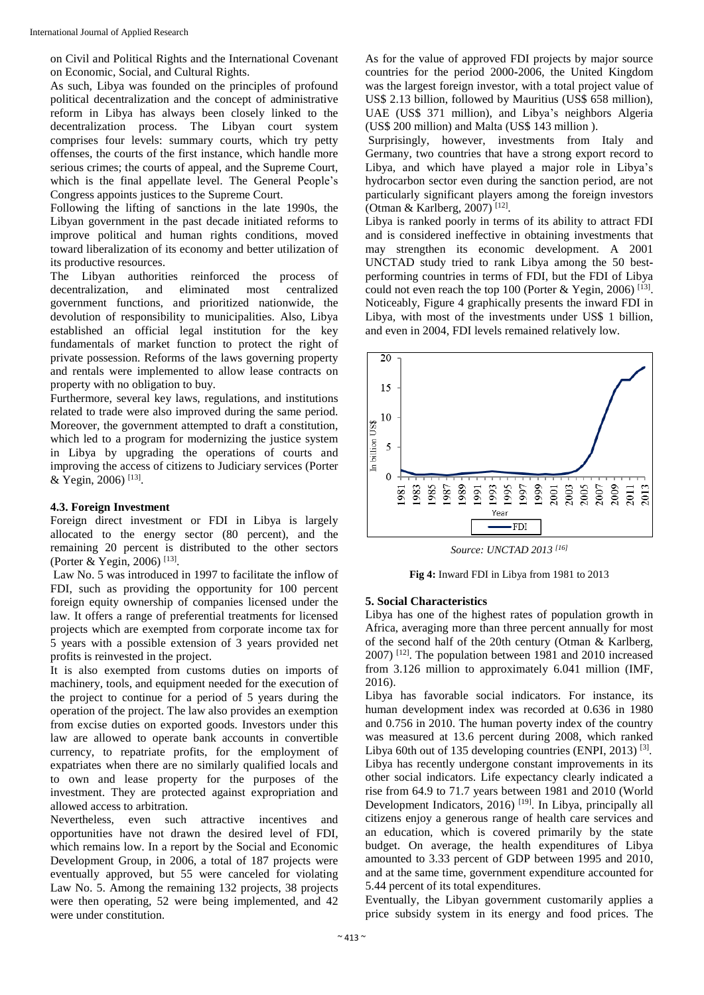on Civil and Political Rights and the International Covenant on Economic, Social, and Cultural Rights.

As such, Libya was founded on the principles of profound political decentralization and the concept of administrative reform in Libya has always been closely linked to the decentralization process. The Libyan court system comprises four levels: summary courts, which try petty offenses, the courts of the first instance, which handle more serious crimes; the courts of appeal, and the Supreme Court, which is the final appellate level. The General People's Congress appoints justices to the Supreme Court.

Following the lifting of sanctions in the late 1990s, the Libyan government in the past decade initiated reforms to improve political and human rights conditions, moved toward liberalization of its economy and better utilization of its productive resources.

The Libyan authorities reinforced the process of decentralization, and eliminated most centralized government functions, and prioritized nationwide, the devolution of responsibility to municipalities. Also, Libya established an official legal institution for the key fundamentals of market function to protect the right of private possession. Reforms of the laws governing property and rentals were implemented to allow lease contracts on property with no obligation to buy.

Furthermore, several key laws, regulations, and institutions related to trade were also improved during the same period. Moreover, the government attempted to draft a constitution, which led to a program for modernizing the justice system in Libya by upgrading the operations of courts and improving the access of citizens to Judiciary services (Porter & Yegin, 2006)<sup>[13]</sup>.

#### **4.3. Foreign Investment**

Foreign direct investment or FDI in Libya is largely allocated to the energy sector (80 percent), and the remaining 20 percent is distributed to the other sectors (Porter & Yegin, 2006)<sup>[13]</sup>.

Law No. 5 was introduced in 1997 to facilitate the inflow of FDI, such as providing the opportunity for 100 percent foreign equity ownership of companies licensed under the law. It offers a range of preferential treatments for licensed projects which are exempted from corporate income tax for 5 years with a possible extension of 3 years provided net profits is reinvested in the project.

It is also exempted from customs duties on imports of machinery, tools, and equipment needed for the execution of the project to continue for a period of 5 years during the operation of the project. The law also provides an exemption from excise duties on exported goods. Investors under this law are allowed to operate bank accounts in convertible currency, to repatriate profits, for the employment of expatriates when there are no similarly qualified locals and to own and lease property for the purposes of the investment. They are protected against expropriation and allowed access to arbitration.

Nevertheless, even such attractive incentives and opportunities have not drawn the desired level of FDI, which remains low. In a report by the Social and Economic Development Group, in 2006, a total of 187 projects were eventually approved, but 55 were canceled for violating Law No. 5. Among the remaining 132 projects, 38 projects were then operating, 52 were being implemented, and 42 were under constitution.

As for the value of approved FDI projects by major source countries for the period 2000**-**2006, the United Kingdom was the largest foreign investor, with a total project value of US\$ 2.13 billion, followed by Mauritius (US\$ 658 million), UAE (US\$ 371 million), and Libya's neighbors Algeria (US\$ 200 million) and Malta (US\$ 143 million ).

Surprisingly, however, investments from Italy and Germany, two countries that have a strong export record to Libya, and which have played a major role in Libya's hydrocarbon sector even during the sanction period, are not particularly significant players among the foreign investors (Otman & Karlberg, 2007) [12] .

Libya is ranked poorly in terms of its ability to attract FDI and is considered ineffective in obtaining investments that may strengthen its economic development. A 2001 UNCTAD study tried to rank Libya among the 50 bestperforming countries in terms of FDI, but the FDI of Libya could not even reach the top 100 (Porter & Yegin, 2006)<sup>[13]</sup>. Noticeably, Figure 4 graphically presents the inward FDI in Libya, with most of the investments under US\$ 1 billion, and even in 2004, FDI levels remained relatively low.



*Source: UNCTAD 2013 [16]*

**Fig 4:** Inward FDI in Libya from 1981 to 2013

#### **5. Social Characteristics**

Libya has one of the highest rates of population growth in Africa, averaging more than three percent annually for most of the second half of the 20th century (Otman & Karlberg, 2007) <sup>[12]</sup>. The population between 1981 and 2010 increased from 3.126 million to approximately 6.041 million (IMF, 2016).

Libya has favorable social indicators. For instance, its human development index was recorded at 0.636 in 1980 and 0.756 in 2010. The human poverty index of the country was measured at 13.6 percent during 2008, which ranked Libya 60th out of 135 developing countries (ENPI, 2013)<sup>[3]</sup>. Libya has recently undergone constant improvements in its other social indicators. Life expectancy clearly indicated a rise from 64.9 to 71.7 years between 1981 and 2010 (World Development Indicators, 2016)<sup>[19]</sup>. In Libya, principally all citizens enjoy a generous range of health care services and an education, which is covered primarily by the state budget. On average, the health expenditures of Libya amounted to 3.33 percent of GDP between 1995 and 2010, and at the same time, government expenditure accounted for 5.44 percent of its total expenditures.

Eventually, the Libyan government customarily applies a price subsidy system in its energy and food prices. The